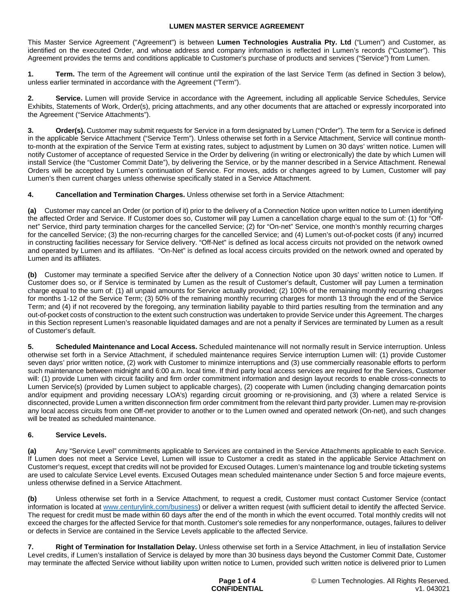This Master Service Agreement ("Agreement") is between **Lumen Technologies Australia Pty. Ltd** ("Lumen") and Customer, as identified on the executed Order, and whose address and company information is reflected in Lumen's records ("Customer"). This Agreement provides the terms and conditions applicable to Customer's purchase of products and services ("Service") from Lumen.

**1. Term.** The term of the Agreement will continue until the expiration of the last Service Term (as defined in Section 3 below), unless earlier terminated in accordance with the Agreement ("Term").

2. Service. Lumen will provide Service in accordance with the Agreement, including all applicable Service Schedules, Service Exhibits, Statements of Work, Order(s), pricing attachments, and any other documents that are attached or expressly incorporated into the Agreement ("Service Attachments").

**Order(s).** Customer may submit requests for Service in a form designated by Lumen ("Order"). The term for a Service is defined in the applicable Service Attachment ("Service Term"). Unless otherwise set forth in a Service Attachment, Service will continue monthto-month at the expiration of the Service Term at existing rates, subject to adjustment by Lumen on 30 days' written notice. Lumen will notify Customer of acceptance of requested Service in the Order by delivering (in writing or electronically) the date by which Lumen will install Service (the "Customer Commit Date"), by delivering the Service, or by the manner described in a Service Attachment. Renewal Orders will be accepted by Lumen's continuation of Service. For moves, adds or changes agreed to by Lumen, Customer will pay Lumen's then current charges unless otherwise specifically stated in a Service Attachment.

**4. Cancellation and Termination Charges.** Unless otherwise set forth in a Service Attachment:

**(a)** Customer may cancel an Order (or portion of it) prior to the delivery of a Connection Notice upon written notice to Lumen identifying the affected Order and Service. If Customer does so, Customer will pay Lumen a cancellation charge equal to the sum of: (1) for "Offnet" Service, third party termination charges for the cancelled Service; (2) for "On-net" Service, one month's monthly recurring charges for the cancelled Service; (3) the non-recurring charges for the cancelled Service; and (4) Lumen's out-of-pocket costs (if any) incurred in constructing facilities necessary for Service delivery. "Off-Net" is defined as local access circuits not provided on the network owned and operated by Lumen and its affiliates. "On-Net" is defined as local access circuits provided on the network owned and operated by Lumen and its affiliates.

**(b)** Customer may terminate a specified Service after the delivery of a Connection Notice upon 30 days' written notice to Lumen. If Customer does so, or if Service is terminated by Lumen as the result of Customer's default, Customer will pay Lumen a termination charge equal to the sum of: (1) all unpaid amounts for Service actually provided; (2) 100% of the remaining monthly recurring charges for months 1-12 of the Service Term; (3) 50% of the remaining monthly recurring charges for month 13 through the end of the Service Term; and (4) if not recovered by the foregoing, any termination liability payable to third parties resulting from the termination and any out-of-pocket costs of construction to the extent such construction was undertaken to provide Service under this Agreement. The charges in this Section represent Lumen's reasonable liquidated damages and are not a penalty if Services are terminated by Lumen as a result of Customer's default.

**5. Scheduled Maintenance and Local Access.** Scheduled maintenance will not normally result in Service interruption. Unless otherwise set forth in a Service Attachment, if scheduled maintenance requires Service interruption Lumen will: (1) provide Customer seven days' prior written notice, (2) work with Customer to minimize interruptions and (3) use commercially reasonable efforts to perform such maintenance between midnight and 6:00 a.m. local time. If third party local access services are required for the Services, Customer will: (1) provide Lumen with circuit facility and firm order commitment information and design layout records to enable cross-connects to Lumen Service(s) (provided by Lumen subject to applicable charges), (2) cooperate with Lumen (including changing demarcation points and/or equipment and providing necessary LOA's) regarding circuit grooming or re-provisioning, and (3) where a related Service is disconnected, provide Lumen a written disconnection firm order commitment from the relevant third party provider. Lumen may re-provision any local access circuits from one Off-net provider to another or to the Lumen owned and operated network (On-net), and such changes will be treated as scheduled maintenance.

# **6. Service Levels.**

**(a)** Any "Service Level" commitments applicable to Services are contained in the Service Attachments applicable to each Service. If Lumen does not meet a Service Level, Lumen will issue to Customer a credit as stated in the applicable Service Attachment on Customer's request, except that credits will not be provided for Excused Outages. Lumen's maintenance log and trouble ticketing systems are used to calculate Service Level events. Excused Outages mean scheduled maintenance under Section 5 and force majeure events, unless otherwise defined in a Service Attachment.

**(b)** Unless otherwise set forth in a Service Attachment, to request a credit, Customer must contact Customer Service (contact information is located at [www.centurylink.com/business](http://www.centurylink.com/business)) or deliver a written request (with sufficient detail to identify the affected Service. The request for credit must be made within 60 days after the end of the month in which the event occurred. Total monthly credits will not exceed the charges for the affected Service for that month. Customer's sole remedies for any nonperformance, outages, failures to deliver or defects in Service are contained in the Service Levels applicable to the affected Service.

**7. Right of Termination for Installation Delay.** Unless otherwise set forth in a Service Attachment, in lieu of installation Service Level credits, if Lumen's installation of Service is delayed by more than 30 business days beyond the Customer Commit Date, Customer may terminate the affected Service without liability upon written notice to Lumen, provided such written notice is delivered prior to Lumen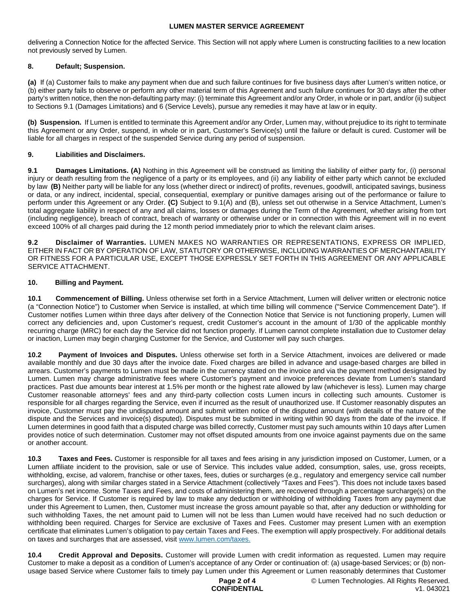delivering a Connection Notice for the affected Service. This Section will not apply where Lumen is constructing facilities to a new location not previously served by Lumen.

## **8. Default; Suspension.**

**(a)** If (a) Customer fails to make any payment when due and such failure continues for five business days after Lumen's written notice, or (b) either party fails to observe or perform any other material term of this Agreement and such failure continues for 30 days after the other party's written notice, then the non-defaulting party may: (i) terminate this Agreement and/or any Order, in whole or in part, and/or (ii) subject to Sections 9.1 (Damages Limitations) and 6 (Service Levels), pursue any remedies it may have at law or in equity.

**(b) Suspension.** If Lumen is entitled to terminate this Agreement and/or any Order, Lumen may, without prejudice to its right to terminate this Agreement or any Order, suspend, in whole or in part, Customer's Service(s) until the failure or default is cured. Customer will be liable for all charges in respect of the suspended Service during any period of suspension.

## **9. Liabilities and Disclaimers.**

**9.1 Damages Limitations. (A)** Nothing in this Agreement will be construed as limiting the liability of either party for, (i) personal injury or death resulting from the negligence of a party or its employees, and (ii) any liability of either party which cannot be excluded by law **(B)** Neither party will be liable for any loss (whether direct or indirect) of profits, revenues, goodwill, anticipated savings, business or data, or any indirect, incidental, special, consequential, exemplary or punitive damages arising out of the performance or failure to perform under this Agreement or any Order. **(C)** Subject to 9.1(A) and (B), unless set out otherwise in a Service Attachment, Lumen's total aggregate liability in respect of any and all claims, losses or damages during the Term of the Agreement, whether arising from tort (including negligence), breach of contract, breach of warranty or otherwise under or in connection with this Agreement will in no event exceed 100% of all charges paid during the 12 month period immediately prior to which the relevant claim arises.

**9.2 Disclaimer of Warranties.** LUMEN MAKES NO WARRANTIES OR REPRESENTATIONS, EXPRESS OR IMPLIED, EITHER IN FACT OR BY OPERATION OF LAW, STATUTORY OR OTHERWISE, INCLUDING WARRANTIES OF MERCHANTABILITY OR FITNESS FOR A PARTICULAR USE, EXCEPT THOSE EXPRESSLY SET FORTH IN THIS AGREEMENT OR ANY APPLICABLE SERVICE ATTACHMENT.

## **10. Billing and Payment.**

**10.1 Commencement of Billing.** Unless otherwise set forth in a Service Attachment, Lumen will deliver written or electronic notice (a "Connection Notice") to Customer when Service is installed, at which time billing will commence ("Service Commencement Date"). If Customer notifies Lumen within three days after delivery of the Connection Notice that Service is not functioning properly, Lumen will correct any deficiencies and, upon Customer's request, credit Customer's account in the amount of 1/30 of the applicable monthly recurring charge (MRC) for each day the Service did not function properly. If Lumen cannot complete installation due to Customer delay or inaction, Lumen may begin charging Customer for the Service, and Customer will pay such charges.

**10.2 Payment of Invoices and Disputes.** Unless otherwise set forth in a Service Attachment, invoices are delivered or made available monthly and due 30 days after the invoice date. Fixed charges are billed in advance and usage-based charges are billed in arrears. Customer's payments to Lumen must be made in the currency stated on the invoice and via the payment method designated by Lumen. Lumen may charge administrative fees where Customer's payment and invoice preferences deviate from Lumen's standard practices. Past due amounts bear interest at 1.5% per month or the highest rate allowed by law (whichever is less). Lumen may charge Customer reasonable attorneys' fees and any third-party collection costs Lumen incurs in collecting such amounts. Customer is responsible for all charges regarding the Service, even if incurred as the result of unauthorized use. If Customer reasonably disputes an invoice, Customer must pay the undisputed amount and submit written notice of the disputed amount (with details of the nature of the dispute and the Services and invoice(s) disputed). Disputes must be submitted in writing within 90 days from the date of the invoice. If Lumen determines in good faith that a disputed charge was billed correctly, Customer must pay such amounts within 10 days after Lumen provides notice of such determination. Customer may not offset disputed amounts from one invoice against payments due on the same or another account.

**10.3 Taxes and Fees.** Customer is responsible for all taxes and fees arising in any jurisdiction imposed on Customer, Lumen, or a Lumen affiliate incident to the provision, sale or use of Service. This includes value added, consumption, sales, use, gross receipts, withholding, excise, ad valorem, franchise or other taxes, fees, duties or surcharges (e.g., regulatory and emergency service call number surcharges), along with similar charges stated in a Service Attachment (collectively "Taxes and Fees"). This does not include taxes based on Lumen's net income. Some Taxes and Fees, and costs of administering them, are recovered through a percentage surcharge(s) on the charges for Service. If Customer is required by law to make any deduction or withholding of withholding Taxes from any payment due under this Agreement to Lumen, then, Customer must increase the gross amount payable so that, after any deduction or withholding for such withholding Taxes, the net amount paid to Lumen will not be less than Lumen would have received had no such deduction or withholding been required. Charges for Service are exclusive of Taxes and Fees. Customer may present Lumen with an exemption certificate that eliminates Lumen's obligation to pay certain Taxes and Fees. The exemption will apply prospectively. For additional details on taxes and surcharges that are assessed, visit [www.lumen.com/taxes](http://www.lumen.com/taxes).

**10.4 Credit Approval and Deposits.** Customer will provide Lumen with credit information as requested. Lumen may require Customer to make a deposit as a condition of Lumen's acceptance of any Order or continuation of: (a) usage-based Services; or (b) nonusage based Service where Customer fails to timely pay Lumen under this Agreement or Lumen reasonably determines that Customer

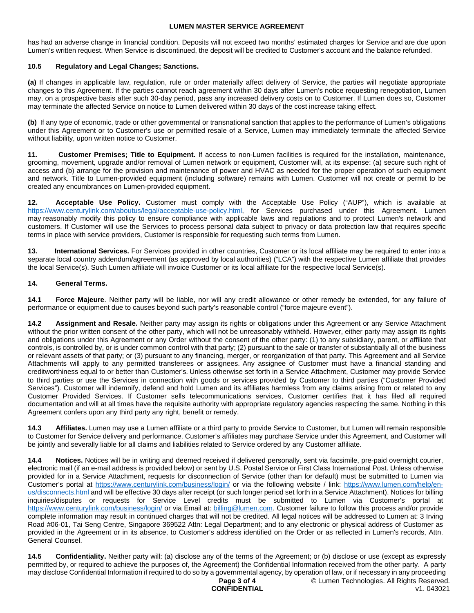has had an adverse change in financial condition. Deposits will not exceed two months' estimated charges for Service and are due upon Lumen's written request. When Service is discontinued, the deposit will be credited to Customer's account and the balance refunded.

## **10.5 Regulatory and Legal Changes; Sanctions.**

**(a)** If changes in applicable law, regulation, rule or order materially affect delivery of Service, the parties will negotiate appropriate changes to this Agreement. If the parties cannot reach agreement within 30 days after Lumen's notice requesting renegotiation, Lumen may, on a prospective basis after such 30-day period, pass any increased delivery costs on to Customer. If Lumen does so, Customer may terminate the affected Service on notice to Lumen delivered within 30 days of the cost increase taking effect.

**(b)** If any type of economic, trade or other governmental or transnational sanction that applies to the performance of Lumen's obligations under this Agreement or to Customer's use or permitted resale of a Service, Lumen may immediately terminate the affected Service without liability, upon written notice to Customer.

**11. Customer Premises; Title to Equipment.** If access to non-Lumen facilities is required for the installation, maintenance, grooming, movement, upgrade and/or removal of Lumen network or equipment, Customer will, at its expense: (a) secure such right of access and (b) arrange for the provision and maintenance of power and HVAC as needed for the proper operation of such equipment and network. Title to Lumen-provided equipment (including software) remains with Lumen. Customer will not create or permit to be created any encumbrances on Lumen-provided equipment.

**12. Acceptable Use Policy.** Customer must comply with the Acceptable Use Policy ("AUP"), which is available at https://www.centurylink.com/aboutus/legal/acceptable-use-policy.html, for Services purchased under this Agreement. Lumen may reasonably modify this policy to ensure compliance with applicable laws and regulations and to protect Lumen's network and customers. If Customer will use the Services to process personal data subject to privacy or data protection law that requires specific terms in place with service providers, Customer is responsible for requesting such terms from Lumen.

**13. International Services.** For Services provided in other countries, Customer or its local affiliate may be required to enter into a separate local country addendum/agreement (as approved by local authorities) ("LCA") with the respective Lumen affiliate that provides the local Service(s). Such Lumen affiliate will invoice Customer or its local affiliate for the respective local Service(s).

## **14. General Terms.**

**14.1 Force Majeure**. Neither party will be liable, nor will any credit allowance or other remedy be extended, for any failure of performance or equipment due to causes beyond such party's reasonable control ("force majeure event").

**14.2 Assignment and Resale.** Neither party may assign its rights or obligations under this Agreement or any Service Attachment without the prior written consent of the other party, which will not be unreasonably withheld. However, either party may assign its rights and obligations under this Agreement or any Order without the consent of the other party: (1) to any subsidiary, parent, or affiliate that controls, is controlled by, or is under common control with that party; (2) pursuant to the sale or transfer of substantially all of the business or relevant assets of that party; or (3) pursuant to any financing, merger, or reorganization of that party. This Agreement and all Service Attachments will apply to any permitted transferees or assignees. Any assignee of Customer must have a financial standing and creditworthiness equal to or better than Customer's. Unless otherwise set forth in a Service Attachment, Customer may provide Service to third parties or use the Services in connection with goods or services provided by Customer to third parties ("Customer Provided Services"). Customer will indemnify, defend and hold Lumen and its affiliates harmless from any claims arising from or related to any Customer Provided Services. If Customer sells telecommunications services, Customer certifies that it has filed all required documentation and will at all times have the requisite authority with appropriate regulatory agencies respecting the same. Nothing in this Agreement confers upon any third party any right, benefit or remedy.

**14.3 Affiliates.** Lumen may use a Lumen affiliate or a third party to provide Service to Customer, but Lumen will remain responsible to Customer for Service delivery and performance. Customer's affiliates may purchase Service under this Agreement, and Customer will be jointly and severally liable for all claims and liabilities related to Service ordered by any Customer affiliate.

**14.4 Notices.** Notices will be in writing and deemed received if delivered personally, sent via facsimile, pre-paid overnight courier, electronic mail (if an e-mail address is provided below) or sent by U.S. Postal Service or First Class International Post. Unless otherwise provided for in a Service Attachment, requests for disconnection of Service (other than for default) must be submitted to Lumen via Customer's portal at <https://www.centurylink.com/business/login/> or via the following website / link: [https://www.lumen.com/help/en](https://www.lumen.com/help/en-us/disconnects.html)[us/disconnects.html and will be effective 30 days after receipt \(or such longer period set forth in a Service Attachment\). Notices for billing](https://www.lumen.com/help/en-us/disconnects.html)  inquiries/disputes or requests for Service Level credits must be submitted to Lumen via Customer's portal at <https://www.centurylink.com/business/login/>or via Email at: [billing@lumen.com](mailto:billing@lumen.com). Customer failure to follow this process and/or provide complete information may result in continued charges that will not be credited. All legal notices will be addressed to Lumen at: 3 Irving Road #06-01, Tai Seng Centre, Singapore 369522 Attn: Legal Department; and to any electronic or physical address of Customer as provided in the Agreement or in its absence, to Customer's address identified on the Order or as reflected in Lumen's records, Attn. General Counsel.

**14.5 Confidentiality.** Neither party will: (a) disclose any of the terms of the Agreement; or (b) disclose or use (except as expressly permitted by, or required to achieve the purposes of, the Agreement) the Confidential Information received from the other party. A party may disclose Confidential Information if required to do so by a governmental agency, by operation of law, or if necessary in any proceeding

#### **Page 3 of 4 CONFIDENTIAL**